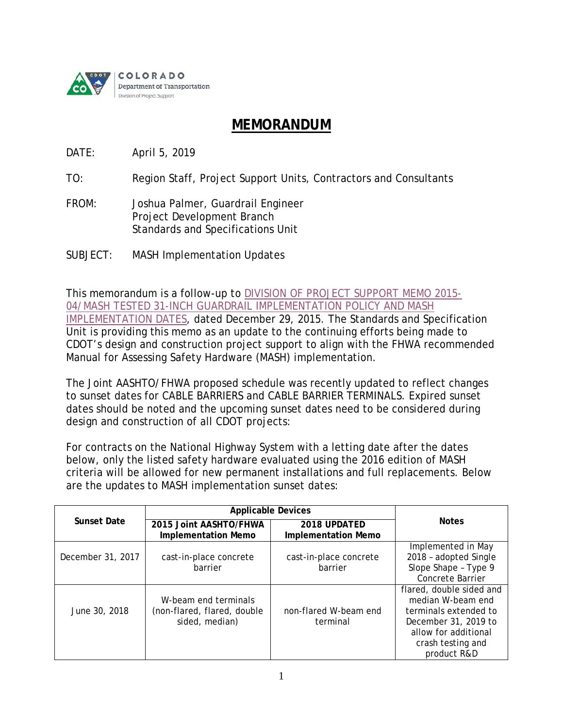

## **MEMORANDUM**

DATE: April 5, 2019

TO: Region Staff, Project Support Units, Contractors and Consultants

- FROM: Joshua Palmer, Guardrail Engineer Project Development Branch Standards and Specifications Unit
- SUBJECT: MASH Implementation Updates

This memorandum is a follow-up to [DIVISION OF PROJECT SUPPORT MEMO 2015-](https://www.codot.gov/business/designsupport/bulletins_manuals/dps-memos/psm-2015-04/view) [04/MASH TESTED 31-INCH GUARDRAIL IMPLEMENTATION POLICY AND MASH](https://www.codot.gov/business/designsupport/bulletins_manuals/dps-memos/psm-2015-04/view)  [IMPLEMENTATION DATES,](https://www.codot.gov/business/designsupport/bulletins_manuals/dps-memos/psm-2015-04/view) dated December 29, 2015. The Standards and Specification Unit is providing this memo as an update to the continuing efforts being made to CDOT's design and construction project support to align with the FHWA recommended Manual for Assessing Safety Hardware (MASH) implementation.

The Joint AASHTO/FHWA proposed schedule was recently updated to reflect changes to sunset dates for *CABLE BARRIERS* and *CABLE BARRIER TERMINALS*. Expired sunset dates should be noted and the upcoming sunset dates need to be considered during design and construction of all CDOT projects:

For contracts on the National Highway System with a letting date after the dates below, only the listed safety hardware evaluated using the 2016 edition of MASH criteria will be allowed for new permanent installations and full replacements. Below are the updates to MASH implementation sunset dates:

| <b>Sunset Date</b> | <b>Applicable Devices</b>                                             |                                            |                                                                                                                                                            |
|--------------------|-----------------------------------------------------------------------|--------------------------------------------|------------------------------------------------------------------------------------------------------------------------------------------------------------|
|                    | 2015 Joint AASHTO/FHWA<br><b>Implementation Memo</b>                  | 2018 UPDATED<br><b>Implementation Memo</b> | <b>Notes</b>                                                                                                                                               |
| December 31, 2017  | cast-in-place concrete<br>barrier                                     | cast-in-place concrete<br>barrier          | Implemented in May<br>2018 - adopted Single<br>Slope Shape - Type 9<br><b>Concrete Barrier</b>                                                             |
| June 30, 2018      | W-beam end terminals<br>(non-flared, flared, double<br>sided, median) | non-flared W-beam end<br>terminal          | flared, double sided and<br>median W-beam end<br>terminals extended to<br>December 31, 2019 to<br>allow for additional<br>crash testing and<br>product R&D |